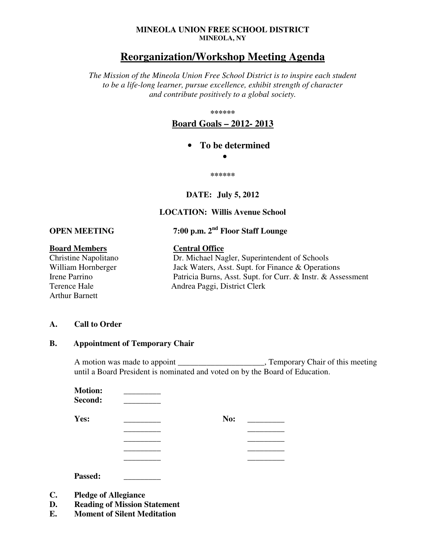#### **MINEOLA UNION FREE SCHOOL DISTRICT MINEOLA, NY**

# **Reorganization/Workshop Meeting Agenda**

*The Mission of the Mineola Union Free School District is to inspire each student to be a life-long learner, pursue excellence, exhibit strength of character and contribute positively to a global society.* 

**\*\*\*\*\*\*** 

**Board Goals – 2012- 2013**

• **To be determined** 

•

**\*\*\*\*\*\*** 

#### **DATE: July 5, 2012**

#### **LOCATION: Willis Avenue School**

**OPEN MEETING 7:00 p.m. 2nd Floor Staff Lounge** 

# **Board Members**<br> **Central Office**<br> **Central Office**<br> **Dr. Michael Na**

Arthur Barnett

Dr. Michael Nagler, Superintendent of Schools William Hornberger Jack Waters, Asst. Supt. for Finance & Operations Irene Parrino Patricia Burns, Asst. Supt. for Curr. & Instr. & Assessment Terence Hale Andrea Paggi, District Clerk

#### **A. Call to Order**

#### **B. Appointment of Temporary Chair**

A motion was made to appoint \_\_\_\_\_\_\_\_\_\_\_\_\_\_\_\_\_\_\_\_\_, Temporary Chair of this meeting until a Board President is nominated and voted on by the Board of Education.

| <b>Motion:</b> |     |
|----------------|-----|
| Second:        |     |
| Yes:           | No: |
|                |     |
|                |     |
|                |     |
|                |     |

**Passed: \_\_\_\_\_\_\_\_\_**

- **C. Pledge of Allegiance**
- **D. Reading of Mission Statement**
- **E. Moment of Silent Meditation**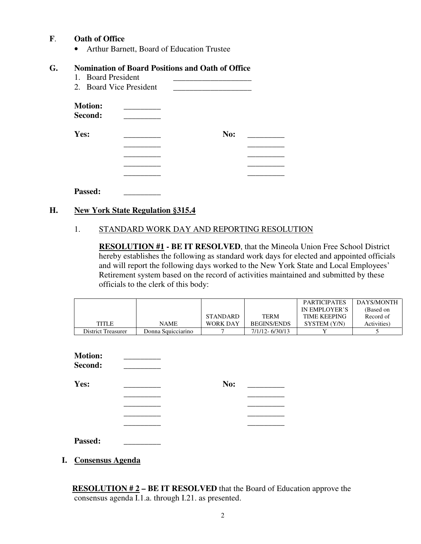# **F**. **Oath of Office**

• Arthur Barnett, Board of Education Trustee

#### **G. Nomination of Board Positions and Oath of Office**

- 1. Board President
- 2. Board Vice President

| <b>Motion:</b><br>Second: |     |
|---------------------------|-----|
| Yes:                      | No: |
|                           |     |
|                           |     |
|                           |     |
|                           |     |

**Passed: \_\_\_\_\_\_\_\_\_**

#### **H. New York State Regulation §315.4**

#### 1. STANDARD WORK DAY AND REPORTING RESOLUTION

**RESOLUTION #1 - BE IT RESOLVED**, that the Mineola Union Free School District hereby establishes the following as standard work days for elected and appointed officials and will report the following days worked to the New York State and Local Employees' Retirement system based on the record of activities maintained and submitted by these officials to the clerk of this body:

|                    |                    |                 |                    | <b>PARTICIPATES</b> | DAYS/MONTH  |
|--------------------|--------------------|-----------------|--------------------|---------------------|-------------|
|                    |                    |                 |                    | IN EMPLOYER'S       | (Based on   |
|                    |                    | <b>STANDARD</b> | <b>TERM</b>        | <b>TIME KEEPING</b> | Record of   |
| <b>TITLE</b>       | <b>NAME</b>        | <b>WORK DAY</b> | <b>BEGINS/ENDS</b> | SYSTEM (Y/N)        | Activities) |
| District Treasurer | Donna Squicciarino |                 | 7/1/12-6/30/13     |                     |             |

| <b>Motion:</b><br>Second: |     |  |
|---------------------------|-----|--|
| Yes:                      | No: |  |
|                           |     |  |
|                           |     |  |
|                           |     |  |
|                           |     |  |
| Passed:                   |     |  |

**I. Consensus Agenda**

 **RESOLUTION # 2 – BE IT RESOLVED** that the Board of Education approve the consensus agenda I.1.a. through I.21. as presented.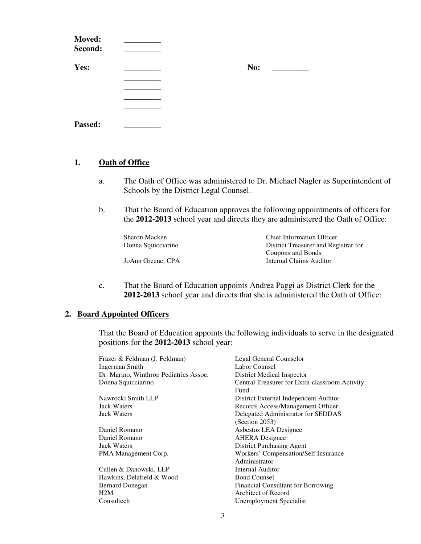| Moved:<br>Second: |     |
|-------------------|-----|
| Yes:              | No: |
|                   |     |
|                   |     |
|                   |     |
| Passed:           |     |

# **1. Oath of Office**

- a. The Oath of Office was administered to Dr. Michael Nagler as Superintendent of Schools by the District Legal Counsel.
- b. That the Board of Education approves the following appointments of officers for the **2012-2013** school year and directs they are administered the Oath of Office:

| Sharon Macken      | <b>Chief Information Officer</b>     |
|--------------------|--------------------------------------|
| Donna Squicciarino | District Treasurer and Registrar for |
|                    | Coupons and Bonds                    |
| JoAnn Greene, CPA  | Internal Claims Auditor              |

c. That the Board of Education appoints Andrea Paggi as District Clerk for the **2012-2013** school year and directs that she is administered the Oath of Office:

#### **2. Board Appointed Officers**

That the Board of Education appoints the following individuals to serve in the designated positions for the **2012-2013** school year:

| Frazer & Feldman (J. Feldman)          | Legal General Counselor                        |
|----------------------------------------|------------------------------------------------|
| Ingerman Smith                         | Labor Counsel                                  |
| Dr. Marino, Winthrop Pediatrics Assoc. | District Medical Inspector                     |
| Donna Squicciarino                     | Central Treasurer for Extra-classroom Activity |
|                                        | Fund                                           |
| Nawrocki Smith LLP                     | District External Independent Auditor          |
| Jack Waters                            | Records Access/Management Officer              |
| <b>Jack Waters</b>                     | Delegated Administrator for SEDDAS             |
|                                        | (Section 2053)                                 |
| Daniel Romano                          | Asbestos LEA Designee                          |
| Daniel Romano                          | <b>AHERA</b> Designee                          |
| <b>Jack Waters</b>                     | District Purchasing Agent                      |
| PMA Management Corp.                   | Workers' Compensation/Self Insurance           |
|                                        | Administrator                                  |
| Cullen & Danowski, LLP                 | Internal Auditor                               |
| Hawkins, Delafield & Wood              | <b>Bond Counsel</b>                            |
| <b>Bernard Donegan</b>                 | Financial Consultant for Borrowing             |
| H2M                                    | Architect of Record                            |
| Consultech                             | Unemployment Specialist                        |
|                                        |                                                |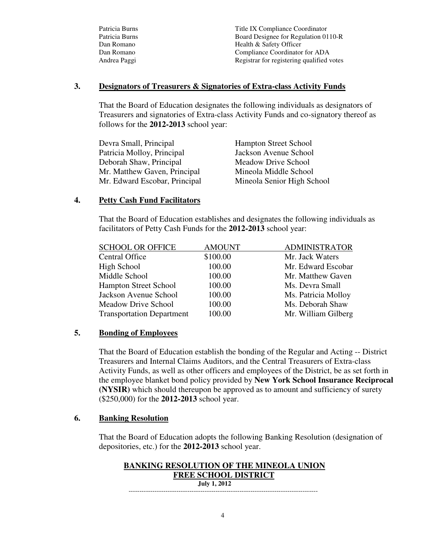| Patricia Burns | Title IX Compliance Coordinator           |
|----------------|-------------------------------------------|
| Patricia Burns | Board Designee for Regulation 0110-R      |
| Dan Romano     | Health & Safety Officer                   |
| Dan Romano     | Compliance Coordinator for ADA            |
| Andrea Paggi   | Registrar for registering qualified votes |

#### **3. Designators of Treasurers & Signatories of Extra-class Activity Funds**

That the Board of Education designates the following individuals as designators of Treasurers and signatories of Extra-class Activity Funds and co-signatory thereof as follows for the **2012-2013** school year:

Devra Small, Principal Hampton Street School Patricia Molloy, Principal Jackson Avenue School Deborah Shaw, Principal Meadow Drive School Mr. Matthew Gaven, Principal Mineola Middle School Mr. Edward Escobar, Principal Mineola Senior High School

# **4. Petty Cash Fund Facilitators**

That the Board of Education establishes and designates the following individuals as facilitators of Petty Cash Funds for the **2012-2013** school year:

| <b>SCHOOL OR OFFICE</b>          | <b>AMOUNT</b> | <b>ADMINISTRATOR</b> |
|----------------------------------|---------------|----------------------|
| <b>Central Office</b>            | \$100.00      | Mr. Jack Waters      |
| High School                      | 100.00        | Mr. Edward Escobar   |
| Middle School                    | 100.00        | Mr. Matthew Gaven    |
| <b>Hampton Street School</b>     | 100.00        | Ms. Devra Small      |
| Jackson Avenue School            | 100.00        | Ms. Patricia Molloy  |
| Meadow Drive School              | 100.00        | Ms. Deborah Shaw     |
| <b>Transportation Department</b> | 100.00        | Mr. William Gilberg  |

#### **5. Bonding of Employees**

 That the Board of Education establish the bonding of the Regular and Acting -- District Treasurers and Internal Claims Auditors, and the Central Treasurers of Extra-class Activity Funds, as well as other officers and employees of the District, be as set forth in the employee blanket bond policy provided by **New York School Insurance Reciprocal (NYSIR)** which should thereupon be approved as to amount and sufficiency of surety (\$250,000) for the **2012-2013** school year.

#### **6. Banking Resolution**

That the Board of Education adopts the following Banking Resolution (designation of depositories, etc.) for the **2012-2013** school year.

#### **BANKING RESOLUTION OF THE MINEOLA UNION FREE SCHOOL DISTRICT July 1, 2012**

---------------------------------------------------------------------------------------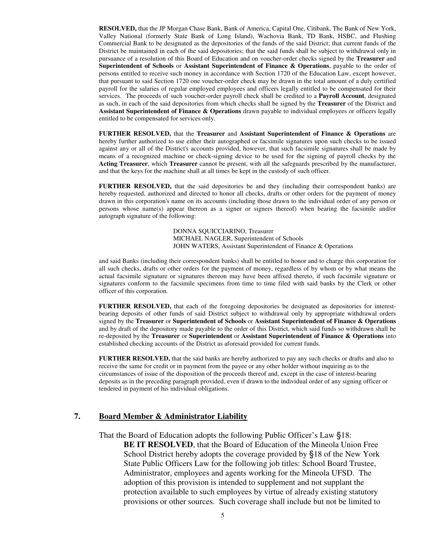**RESOLVED,** that the JP Morgan Chase Bank, Bank of America, Capital One, Citibank, The Bank of New York, Valley National (formerly State Bank of Long Island), Wachovia Bank, TD Bank, HSBC, and Flushing Commercial Bank to be designated as the depositories of the funds of the said District; that current funds of the District be maintained in each of the said depositories; that the said funds shall be subject to withdrawal only in pursuance of a resolution of this Board of Education and on voucher-order checks signed by the **Treasurer** and **Superintendent of Schools** or **Assistant Superintendent of Finance & Operations**, payable to the order of persons entitled to receive such money in accordance with Section 1720 of the Education Law, except however, that pursuant to said Section 1720 one voucher-order check may be drawn in the total amount of a duly certified payroll for the salaries of regular employed employees and officers legally entitled to be compensated for their services. The proceeds of such voucher-order payroll check shall be credited to a **Payroll Account**, designated as such, in each of the said depositories from which checks shall be signed by the **Treasurer** of the District and **Assistant Superintendent of Finance & Operations** drawn payable to individual employees or officers legally entitled to be compensated for services only.

**FURTHER RESOLVED,** that the **Treasurer** and **Assistant Superintendent of Finance & Operations** are hereby further authorized to use either their autographed or facsimile signatures upon such checks to be issued against any or all of the District's accounts provided, however, that such facsimile signatures shall be made by means of a recognized machine or check-signing device to be used for the signing of payroll checks by the **Acting Treasurer**, which **Treasurer** cannot be present, with all the safeguards prescribed by the manufacturer, and that the keys for the machine shall at all times be kept in the custody of such officer.

**FURTHER RESOLVED,** that the said depositories be and they (including their correspondent banks) are hereby requested, authorized and directed to honor all checks, drafts or other orders for the payment of money drawn in this corporation's name on its accounts (including those drawn to the individual order of any person or persons whose name(s) appear thereon as a signer or signers thereof) when bearing the facsimile and/or autograph signature of the following:

> DONNA SQUICCIARINO, Treasurer MICHAEL NAGLER, Superintendent of Schools JOHN WATERS, Assistant Superintendent of Finance & Operations

and said Banks (including their correspondent banks) shall be entitled to honor and to charge this corporation for all such checks, drafts or other orders for the payment of money, regardless of by whom or by what means the actual facsimile signature or signatures thereon may have been affixed thereto, if such facsimile signature or signatures conform to the facsimile specimens from time to time filed with said banks by the Clerk or other officer of this corporation.

**FURTHER RESOLVED,** that each of the foregoing depositories be designated as depositories for interestbearing deposits of other funds of said District subject to withdrawal only by appropriate withdrawal orders signed by the **Treasurer** or **Superintendent of Schools** or **Assistant Superintendent of Finance & Operations** and by draft of the depository made payable to the order of this District, which said funds so withdrawn shall be re-deposited by the **Treasurer** or **Superintendent** or **Assistant Superintendent of Finance & Operations** into established checking accounts of the District as aforesaid provided for current funds.

**FURTHER RESOLVED,** that the said banks are hereby authorized to pay any such checks or drafts and also to receive the same for credit or in payment from the payee or any other holder without inquiring as to the circumstances of issue of the disposition of the proceeds thereof and, except in the case of interest-bearing deposits as in the preceding paragraph provided, even if drawn to the individual order of any signing officer or tendered in payment of his individual obligations.

#### **7. Board Member & Administrator Liability**

 That the Board of Education adopts the following Public Officer's Law §18: **BE IT RESOLVED**, that the Board of Education of the Mineola Union Free School District hereby adopts the coverage provided by §18 of the New York State Public Officers Law for the following job titles: School Board Trustee, Administrator, employees and agents working for the Mineola UFSD. The adoption of this provision is intended to supplement and not supplant the protection available to such employees by virtue of already existing statutory provisions or other sources. Such coverage shall include but not be limited to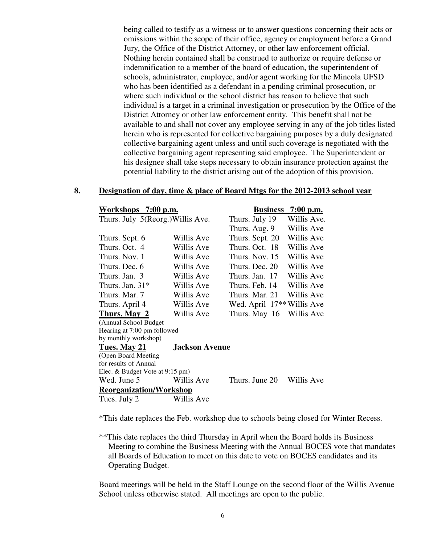being called to testify as a witness or to answer questions concerning their acts or omissions within the scope of their office, agency or employment before a Grand Jury, the Office of the District Attorney, or other law enforcement official. Nothing herein contained shall be construed to authorize or require defense or indemnification to a member of the board of education, the superintendent of schools, administrator, employee, and/or agent working for the Mineola UFSD who has been identified as a defendant in a pending criminal prosecution, or where such individual or the school district has reason to believe that such individual is a target in a criminal investigation or prosecution by the Office of the District Attorney or other law enforcement entity. This benefit shall not be available to and shall not cover any employee serving in any of the job titles listed herein who is represented for collective bargaining purposes by a duly designated collective bargaining agent unless and until such coverage is negotiated with the collective bargaining agent representing said employee. The Superintendent or his designee shall take steps necessary to obtain insurance protection against the potential liability to the district arising out of the adoption of this provision.

#### **8. Designation of day, time & place of Board Mtgs for the 2012-2013 school year**

| Workshops 7:00 p.m.               |                       | <b>Business</b>                        | $7:00$ p.m. |
|-----------------------------------|-----------------------|----------------------------------------|-------------|
| Thurs. July 5(Reorg.) Willis Ave. |                       | Thurs. July 19                         | Willis Ave. |
|                                   |                       | Thurs. Aug. 9                          | Willis Ave  |
| Thurs. Sept. 6                    | Willis Ave            | Thurs. Sept. 20                        | Willis Ave  |
| Thurs. Oct. 4                     | Willis Ave            | Thurs, Oct. 18                         | Willis Ave  |
| Thurs, Nov. 1                     | Willis Ave            | Thurs, Nov. 15                         | Willis Ave  |
| Thurs. Dec. 6                     | Willis Ave            | Thurs. Dec. 20                         | Willis Ave  |
| Thurs. Jan. 3                     | Willis Ave            | Thurs. Jan. 17                         | Willis Ave  |
| Thurs. Jan. $31*$                 | Willis Ave            | Thurs. Feb. 14                         | Willis Ave  |
| Thurs, Mar. 7                     | Willis Ave            | Thurs, Mar. 21                         | Willis Ave  |
| Thurs. April 4                    | Willis Ave            | Wed. April 17 <sup>**</sup> Willis Ave |             |
| Thurs. May 2                      | Willis Ave            | Thurs. May 16                          | Willis Ave  |
| (Annual School Budget             |                       |                                        |             |
| Hearing at 7:00 pm followed       |                       |                                        |             |
| by monthly workshop)              |                       |                                        |             |
| Tues. May 21                      | <b>Jackson Avenue</b> |                                        |             |
| (Open Board Meeting)              |                       |                                        |             |
| for results of Annual             |                       |                                        |             |
| Elec. & Budget Vote at 9:15 pm)   |                       |                                        |             |
| Wed. June 5                       | Willis Ave            | Thurs. June 20                         | Willis Ave  |
| <b>Reorganization/Workshop</b>    |                       |                                        |             |
| Tues. July 2                      | Willis Ave            |                                        |             |

\*This date replaces the Feb. workshop due to schools being closed for Winter Recess.

\*\*This date replaces the third Thursday in April when the Board holds its Business Meeting to combine the Business Meeting with the Annual BOCES vote that mandates all Boards of Education to meet on this date to vote on BOCES candidates and its Operating Budget.

Board meetings will be held in the Staff Lounge on the second floor of the Willis Avenue School unless otherwise stated. All meetings are open to the public.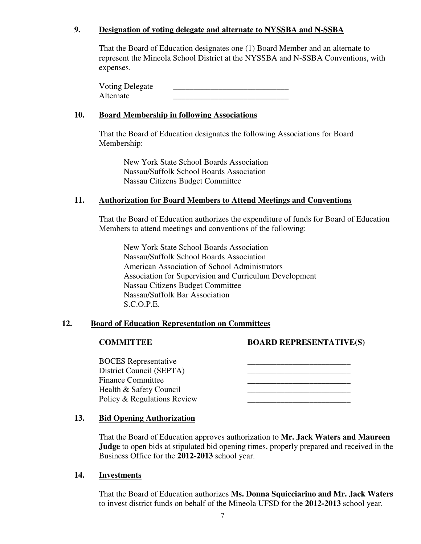# **9. Designation of voting delegate and alternate to NYSSBA and N-SSBA**

That the Board of Education designates one (1) Board Member and an alternate to represent the Mineola School District at the NYSSBA and N-SSBA Conventions, with expenses.

Voting Delegate Alternate \_\_\_\_\_\_\_\_\_\_\_\_\_\_\_\_\_\_\_\_\_\_\_\_\_\_\_\_

#### **10. Board Membership in following Associations**

That the Board of Education designates the following Associations for Board Membership:

New York State School Boards Association Nassau/Suffolk School Boards Association Nassau Citizens Budget Committee

# **11. Authorization for Board Members to Attend Meetings and Conventions**

That the Board of Education authorizes the expenditure of funds for Board of Education Members to attend meetings and conventions of the following:

New York State School Boards Association Nassau/Suffolk School Boards Association American Association of School Administrators Association for Supervision and Curriculum Development Nassau Citizens Budget Committee Nassau/Suffolk Bar Association S.C.O.P.E.

#### **12. Board of Education Representation on Committees**

# **COMMITTEE BOARD REPRESENTATIVE(S)**

 BOCES Representative \_\_\_\_\_\_\_\_\_\_\_\_\_\_\_\_\_\_\_\_\_\_\_\_\_ District Council (SEPTA) Finance Committee Health & Safety Council Policy & Regulations Review

#### **13. Bid Opening Authorization**

That the Board of Education approves authorization to **Mr. Jack Waters and Maureen Judge** to open bids at stipulated bid opening times, properly prepared and received in the Business Office for the **2012-2013** school year.

#### **14. Investments**

That the Board of Education authorizes **Ms. Donna Squicciarino and Mr. Jack Waters** to invest district funds on behalf of the Mineola UFSD for the **2012-2013** school year.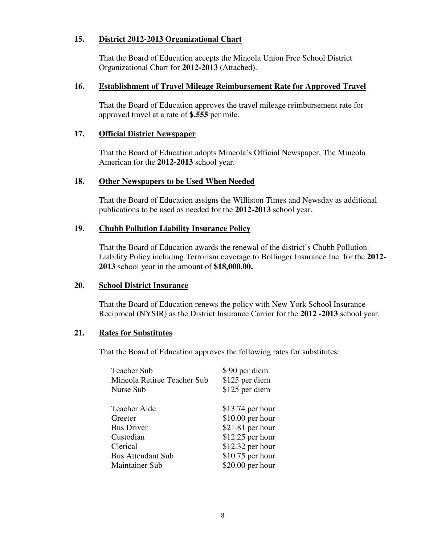#### **15. District 2012-2013 Organizational Chart**

That the Board of Education accepts the Mineola Union Free School District Organizational Chart for **2012-2013** (Attached).

#### **16. Establishment of Travel Mileage Reimbursement Rate for Approved Travel**

That the Board of Education approves the travel mileage reimbursement rate for approved travel at a rate of **\$.555** per mile.

#### **17. Official District Newspaper**

That the Board of Education adopts Mineola's Official Newspaper, The Mineola American for the **2012-2013** school year.

#### **18. Other Newspapers to be Used When Needed**

That the Board of Education assigns the Williston Times and Newsday as additional publications to be used as needed for the **2012-2013** school year.

# **19. Chubb Pollution Liability Insurance Policy**

That the Board of Education awards the renewal of the district's Chubb Pollution Liability Policy including Terrorism coverage to Bollinger Insurance Inc. for the **2012- 2013** school year in the amount of **\$18,000.00.**

#### **20. School District Insurance**

That the Board of Education renews the policy with New York School Insurance Reciprocal (NYSIR) as the District Insurance Carrier for the **2012 -2013** school year.

#### **21. Rates for Substitutes**

That the Board of Education approves the following rates for substitutes:

| <b>Teacher Sub</b>          | \$90 per diem     |
|-----------------------------|-------------------|
| Mineola Retiree Teacher Sub | \$125 per diem    |
| Nurse Sub                   | \$125 per diem    |
|                             |                   |
| <b>Teacher Aide</b>         | $$13.74$ per hour |
| Greeter                     | $$10.00$ per hour |
| <b>Bus Driver</b>           | $$21.81$ per hour |
| Custodian                   | $$12.25$ per hour |
| Clerical                    | $$12.32$ per hour |
| <b>Bus Attendant Sub</b>    | $$10.75$ per hour |
| <b>Maintainer Sub</b>       | \$20.00 per hour  |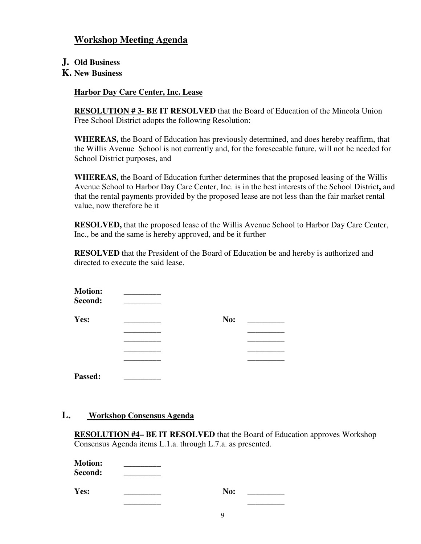# **Workshop Meeting Agenda**

- **J. Old Business**
- **K. New Business**

# **Harbor Day Care Center, Inc. Lease**

**RESOLUTION # 3- BE IT RESOLVED** that the Board of Education of the Mineola Union Free School District adopts the following Resolution:

**WHEREAS,** the Board of Education has previously determined, and does hereby reaffirm, that the Willis Avenue School is not currently and, for the foreseeable future, will not be needed for School District purposes, and

**WHEREAS,** the Board of Education further determines that the proposed leasing of the Willis Avenue School to Harbor Day Care Center, Inc. is in the best interests of the School District**,** and that the rental payments provided by the proposed lease are not less than the fair market rental value, now therefore be it

**RESOLVED,** that the proposed lease of the Willis Avenue School to Harbor Day Care Center, Inc., be and the same is hereby approved, and be it further

**RESOLVED** that the President of the Board of Education be and hereby is authorized and directed to execute the said lease.

| <b>Motion:</b><br>Second: |     |
|---------------------------|-----|
| Yes:                      | No: |
|                           |     |
|                           |     |
|                           |     |
|                           |     |
| <b>Passed:</b>            |     |

# **L. Workshop Consensus Agenda**

**RESOLUTION #4– BE IT RESOLVED** that the Board of Education approves Workshop Consensus Agenda items L.1.a. through L.7.a. as presented.

| <b>Motion:</b> |  |
|----------------|--|
| <b>Second:</b> |  |

**Yes:** \_\_\_\_\_\_\_\_\_ **No:** \_\_\_\_\_\_\_\_\_ \_\_\_\_\_\_\_\_\_ \_\_\_\_\_\_\_\_\_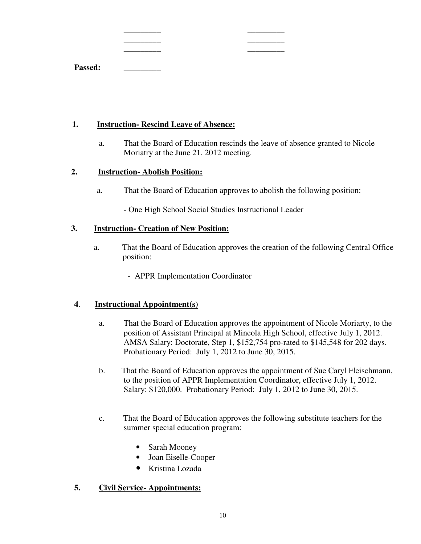|         | _________  | _________  |
|---------|------------|------------|
|         | __________ | __________ |
|         | _________  | _________  |
| Passed: |            |            |

#### **1. Instruction- Rescind Leave of Absence:**

a. That the Board of Education rescinds the leave of absence granted to Nicole Moriatry at the June 21, 2012 meeting.

# **2. Instruction- Abolish Position:**

a. That the Board of Education approves to abolish the following position:

- One High School Social Studies Instructional Leader

# **3. Instruction- Creation of New Position:**

- a. That the Board of Education approves the creation of the following Central Office position:
	- APPR Implementation Coordinator

# **4**. **Instructional Appointment(s)**

- a. That the Board of Education approves the appointment of Nicole Moriarty, to the position of Assistant Principal at Mineola High School, effective July 1, 2012. AMSA Salary: Doctorate, Step 1, \$152,754 pro-rated to \$145,548 for 202 days. Probationary Period: July 1, 2012 to June 30, 2015.
- b. That the Board of Education approves the appointment of Sue Caryl Fleischmann, to the position of APPR Implementation Coordinator, effective July 1, 2012. Salary: \$120,000. Probationary Period: July 1, 2012 to June 30, 2015.
- c. That the Board of Education approves the following substitute teachers for the summer special education program:
	- Sarah Mooney
	- Joan Eiselle-Cooper
	- Kristina Lozada

# **5. Civil Service- Appointments:**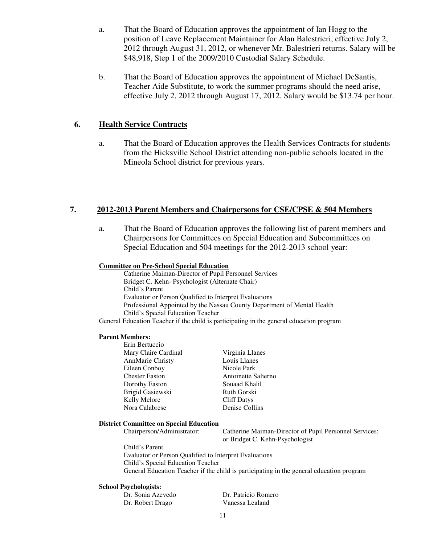- a. That the Board of Education approves the appointment of Ian Hogg to the position of Leave Replacement Maintainer for Alan Balestrieri, effective July 2, 2012 through August 31, 2012, or whenever Mr. Balestrieri returns. Salary will be \$48,918, Step 1 of the 2009/2010 Custodial Salary Schedule.
- b. That the Board of Education approves the appointment of Michael DeSantis, Teacher Aide Substitute, to work the summer programs should the need arise, effective July 2, 2012 through August 17, 2012. Salary would be \$13.74 per hour.

#### **6. Health Service Contracts**

a. That the Board of Education approves the Health Services Contracts for students from the Hicksville School District attending non-public schools located in the Mineola School district for previous years.

#### **7. 2012-2013 Parent Members and Chairpersons for CSE/CPSE & 504 Members**

a. That the Board of Education approves the following list of parent members and Chairpersons for Committees on Special Education and Subcommittees on Special Education and 504 meetings for the 2012-2013 school year:

#### **Committee on Pre-School Special Education**

Catherine Maiman-Director of Pupil Personnel Services Bridget C. Kehn- Psychologist (Alternate Chair) Child's Parent Evaluator or Person Qualified to Interpret Evaluations Professional Appointed by the Nassau County Department of Mental Health Child's Special Education Teacher

General Education Teacher if the child is participating in the general education program

#### **Parent Members:**

 Erin Bertuccio Mary Claire Cardinal Virginia Llanes AnnMarie Christy Louis Llanes Eileen Conboy Nicole Park Chester Easton Antoinette Salierno Dorothy Easton Souaad Khalil Brigid Gasiewski Ruth Gorski Kelly Melore Cliff Datys Nora Calabrese Denise Collins

#### **District Committee on Special Education**

Chairperson/Administrator: Catherine Maiman-Director of Pupil Personnel Services; or Bridget C. Kehn-Psychologist

Child's Parent Evaluator or Person Qualified to Interpret Evaluations Child's Special Education Teacher General Education Teacher if the child is participating in the general education program

#### **School Psychologists:**

Dr. Robert Drago Vanessa Lealand

Dr. Sonia Azevedo Dr. Patricio Romero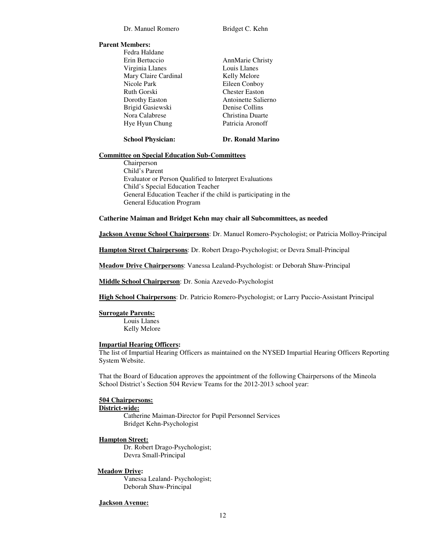#### **Parent Members:**

Fedra Haldane Erin Bertuccio AnnMarie Christy Virginia Llanes Louis Llanes Mary Claire Cardinal Kelly Melore<br>Nicole Park Fileen Conbo Ruth Gorski Chester Easton Dorothy Easton Antoinette Salierno Brigid Gasiewski Denise Collins Nora Calabrese Christina Duarte Hye Hyun Chung Patricia Aronoff

Eileen Conboy

#### **School Physician: Dr. Ronald Marino**

#### **Committee on Special Education Sub-Committees**

Chairperson Child's Parent Evaluator or Person Qualified to Interpret Evaluations Child's Special Education Teacher General Education Teacher if the child is participating in the General Education Program

#### **Catherine Maiman and Bridget Kehn may chair all Subcommittees, as needed**

**Jackson Avenue School Chairpersons**: Dr. Manuel Romero-Psychologist; or Patricia Molloy-Principal

**Hampton Street Chairpersons**: Dr. Robert Drago-Psychologist; or Devra Small-Principal

**Meadow Drive Chairpersons**: Vanessa Lealand-Psychologist: or Deborah Shaw-Principal

**Middle School Chairperson**: Dr. Sonia Azevedo-Psychologist

**High School Chairpersons**: Dr. Patricio Romero-Psychologist; or Larry Puccio-Assistant Principal

#### **Surrogate Parents:**

Louis Llanes Kelly Melore

#### **Impartial Hearing Officers:**

The list of Impartial Hearing Officers as maintained on the NYSED Impartial Hearing Officers Reporting System Website.

That the Board of Education approves the appointment of the following Chairpersons of the Mineola School District's Section 504 Review Teams for the 2012-2013 school year:

#### **504 Chairpersons:**

#### **District-wide:**

Catherine Maiman-Director for Pupil Personnel Services Bridget Kehn-Psychologist

#### **Hampton Street:**

Dr. Robert Drago-Psychologist; Devra Small-Principal

#### **Meadow Drive:**

Vanessa Lealand- Psychologist; Deborah Shaw-Principal

#### **Jackson Avenue:**